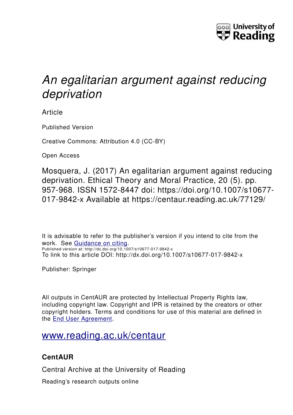

# *An egalitarian argument against reducing deprivation*

Article

Published Version

Creative Commons: Attribution 4.0 (CC-BY)

Open Access

Mosquera, J. (2017) An egalitarian argument against reducing deprivation. Ethical Theory and Moral Practice, 20 (5). pp. 957-968. ISSN 1572-8447 doi: https://doi.org/10.1007/s10677- 017-9842-x Available at https://centaur.reading.ac.uk/77129/

It is advisable to refer to the publisher's version if you intend to cite from the work. See [Guidance on citing.](http://centaur.reading.ac.uk/71187/10/CentAUR%20citing%20guide.pdf) Published version at: http://dx.doi.org/10.1007/s10677-017-9842-x To link to this article DOI: http://dx.doi.org/10.1007/s10677-017-9842-x

Publisher: Springer

All outputs in CentAUR are protected by Intellectual Property Rights law, including copyright law. Copyright and IPR is retained by the creators or other copyright holders. Terms and conditions for use of this material are defined in the [End User Agreement.](http://centaur.reading.ac.uk/licence)

# [www.reading.ac.uk/centaur](http://www.reading.ac.uk/centaur)

## **CentAUR**

Central Archive at the University of Reading

Reading's research outputs online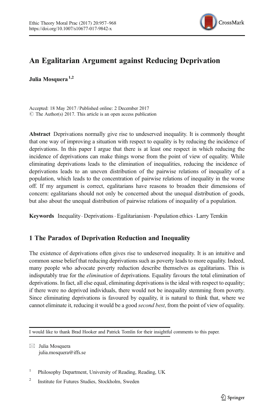

### An Egalitarian Argument against Reducing Deprivation

Julia Mosquera<sup>1,2</sup>

Accepted: 18 May 2017 / Published online: 2 December 2017  $\circ$  The Author(s) 2017. This article is an open access publication

Abstract Deprivations normally give rise to undeserved inequality. It is commonly thought that one way of improving a situation with respect to equality is by reducing the incidence of deprivations. In this paper I argue that there is at least one respect in which reducing the incidence of deprivations can make things worse from the point of view of equality. While eliminating deprivations leads to the elimination of inequalities, reducing the incidence of deprivations leads to an uneven distribution of the pairwise relations of inequality of a population, which leads to the concentration of pairwise relations of inequality in the worse off. If my argument is correct, egalitarians have reasons to broaden their dimensions of concern: egalitarians should not only be concerned about the unequal distribution of goods, but also about the unequal distribution of pairwise relations of inequality of a population.

Keywords Inequality. Deprivations. Egalitarianism . Population ethics. Larry Temkin

#### 1 The Paradox of Deprivation Reduction and Inequality

The existence of deprivations often gives rise to undeserved inequality. It is an intuitive and common sense belief that reducing deprivations such as poverty leads to more equality. Indeed, many people who advocate poverty reduction describe themselves as egalitarians. This is indisputably true for the elimination of deprivations. Equality favours the total elimination of deprivations. In fact, all else equal, eliminating deprivations is the ideal with respect to equality; if there were no deprived individuals, there would not be inequality stemming from poverty. Since eliminating deprivations is favoured by equality, it is natural to think that, where we cannot eliminate it, reducing it would be a good second best, from the point of view of equality.

 $\boxtimes$  Julia Mosquera [julia.mosquera@iffs.se](mailto:julia.mosquera@iffs.se)

I would like to thank Brad Hooker and Patrick Tomlin for their insightful comments to this paper.

<sup>&</sup>lt;sup>1</sup> Philosophy Department, University of Reading, Reading, UK

<sup>&</sup>lt;sup>2</sup> Institute for Futures Studies, Stockholm, Sweden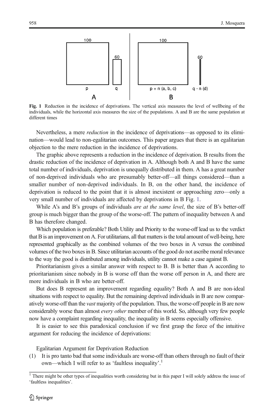

Fig. 1 Reduction in the incidence of deprivations. The vertical axis measures the level of wellbeing of the individuals, while the horizontal axis measures the size of the populations. A and B are the same population at different times

Nevertheless, a mere reduction in the incidence of deprivations—as opposed to its elimination—would lead to non-egalitarian outcomes. This paper argues that there is an egalitarian objection to the mere reduction in the incidence of deprivations.

The graphic above represents a reduction in the incidence of deprivation. B results from the drastic reduction of the incidence of deprivation in A. Although both A and B have the same total number of individuals, deprivation is unequally distributed in them. A has a great number of non-deprived individuals who are presumably better-off—all things considered—than a smaller number of non-deprived individuals. In B, on the other hand, the incidence of deprivation is reduced to the point that it is almost inexistent or approaching zero—only a very small number of individuals are affected by deprivations in B Fig. 1.

While A's and B's groups of individuals *are at the same level*, the size of B's better-off group is much bigger than the group of the worse-off. The pattern of inequality between A and B has therefore changed.

Which population is preferable? Both Utility and Priority to the worse-off lead us to the verdict that B is an improvement on A. For utilitarians, all that matters is the total amount of well-being, here represented graphically as the combined volumes of the two boxes in A versus the combined volumes of the two boxes in B. Since utilitarian accounts of the good do not ascribe moral relevance to the way the good is distributed among individuals, utility cannot make a case against B.

Prioritarianism gives a similar answer with respect to B. B is better than A according to prioritarianism since nobody in B is worse off than the worse off person in A, and there are more individuals in B who are better-off.

But does B represent an improvement regarding equality? Both A and B are non-ideal situations with respect to equality. But the remaining deprived individuals in B are now comparatively worse-off than the *vast* majority of the population. Thus, the worse-off people in B are now considerably worse than almost *every other* member of this world. So, although very few people now have a complaint regarding inequality, the inequality in B seems especially offensive.

It is easier to see this paradoxical conclusion if we first grasp the force of the intuitive argument for reducing the incidence of deprivations:

Egalitarian Argument for Deprivation Reduction

(1) It is pro tanto bad that some individuals are worse-off than others through no fault of their own—which I will refer to as 'faultless inequality'.<sup>1</sup>

<sup>&</sup>lt;sup>1</sup> There might be other types of inequalities worth considering but in this paper I will solely address the issue of 'faultless inequalities'.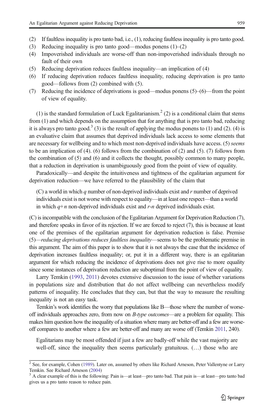- (2) If faultless inequality is pro tanto bad, i.e., (1), reducing faultless inequality is pro tanto good.
- (3) Reducing inequality is pro tanto good—modus ponens  $(1)$ – $(2)$
- (4) Impoverished individuals are worse-off than non-impoverished individuals through no fault of their own
- (5) Reducing deprivation reduces faultless inequality—an implication of (4)
- (6) If reducing deprivation reduces faultless inequality, reducing deprivation is pro tanto good—follows from (2) combined with (5).
- (7) Reducing the incidence of deprivations is good—modus ponens (5)–(6)—from the point of view of equality.

(1) is the standard formulation of Luck Egalitarianism.<sup>2</sup> (2) is a conditional claim that stems from (1) and which depends on the assumption that for anything that is pro tanto bad, reducing it is always pro tanto good.<sup>3</sup> (3) is the result of applying the modus ponens to (1) and (2). (4) is an evaluative claim that assumes that deprived individuals lack access to some elements that are necessary for wellbeing and to which most non-deprived individuals have access. (5) seems to be an implication of (4). (6) follows from the combination of (2) and (5). (7) follows from the combination of  $(5)$  and  $(6)$  and it collects the thought, possibly common to many people, that a reduction in deprivation is unambiguously good from the point of view of equality.

Paradoxically—and despite the intuitiveness and tightness of the egalitarian argument for deprivation reduction—we have referred to the plausibility of the claim that

(C) a world in which q number of non-deprived individuals exist and  $r$  number of deprived individuals exist is not worse with respect to equality—in at least one respect—than a world in which  $q+n$  non-deprived individuals exist and  $r-n$  deprived individuals exist.

(C) is incompatible with the conclusion of the Egalitarian Argument for Deprivation Reduction (7), and therefore speaks in favor of its rejection. If we are forced to reject (7), this is because at least one of the premises of the egalitarian argument for deprivation reduction is false. Premise (5)—reducing deprivations reduces faultless inequality—seems to be the problematic premise in this argument. The aim of this paper is to show that it is not always the case that the incidence of deprivation increases faultless inequality; or, put it in a different way, there is an egalitarian argument for which reducing the incidence of deprivations does not give rise to more equality since some instances of deprivation reduction are suboptimal from the point of view of equality.

Larry Temkin [\(1993,](#page-12-0) [2011](#page-12-0)) devotes extensive discussion to the issue of whether variations in populations size and distribution that do not affect wellbeing can nevertheless modify patterns of inequality. He concludes that they can, but that the way to measure the resulting inequality is not an easy task.

Temkin's work identifies the worry that populations like B—those where the number of worseoff individuals approaches zero, from now on  $B$ -*type outcomes*—are a problem for equality. Thismakes him question how the inequality of a situation where many are better-off and a few are worseoff compares to another where a few are better-off and many are worse off (Temkin [2011](#page-12-0), 240).

Egalitarians may be most offended if just a few are badly-off while the vast majority are well-off, since the inequality then seems particularly gratuitous. (…) those who are

<sup>&</sup>lt;sup>2</sup> See, for example, Cohen [\(1989](#page-11-0)). Later on, assumed by others like Richard Arneson, Peter Vallentyne or Larry Temkin. See Richard Arneson [\(2004\)](#page-11-0)<br> $3$  A clear example of this is the following: Pain is—at least—pro tanto bad. That pain is—at least—pro tanto bad

gives us a pro tanto reason to reduce pain.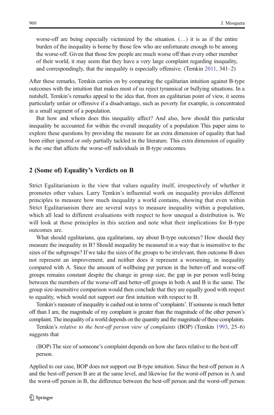worse-off are being especially victimized by the situation. (…) it is as if the entire burden of the inequality is borne by those few who are unfortunate enough to be among the worse-off. Given that those few people are much worse off than every other member of their world, it may seem that they have a very large complaint regarding inequality, and correspondingly, that the inequality is especially offensive. (Temkin [2011,](#page-12-0) 341–2)

After these remarks, Temkin carries on by comparing the egalitarian intuition against B-type outcomes with the intuition that makes most of us reject tyrannical or bullying situations. In a nutshell, Temkin's remarks appeal to the idea that, from an egalitarian point of view, it seems particularly unfair or offensive if a disadvantage, such as poverty for example, is concentrated in a small segment of a population.

But how and whom does this inequality affect? And also, how should this particular inequality be accounted for within the overall inequality of a population This paper aims to explore these questions by providing the measure for an extra dimension of equality that had been either ignored or only partially tackled in the literature. This extra dimension of equality is the one that affects the worse-off individuals in B-type outcomes.

#### 2 (Some of) Equality's Verdicts on B

Strict Egalitarianism is the view that values equality itself, irrespectively of whether it promotes other values. Larry Temkin's influential work on inequality provides different principles to measure how much inequality a world contains, showing that even within Strict Egalitarianism there are several ways to measure inequality within a population, which all lead to different evaluations with respect to how unequal a distribution is. We will look at those principles in this section and note what their implications for B-type outcomes are.

What should egalitarians, qua egalitarians, say about B-type outcomes? How should they measure the inequality in B? Should inequality be measured in a way that is insensitive to the sizes of the subgroups? If we take the sizes of the groups to be irrelevant, then outcome B does not represent an improvement, and neither does it represent a worsening, in inequality compared with A. Since the amount of wellbeing per person in the better-off and worse-off groups remains constant despite the change in group size, the gap in per person well-being between the members of the worse-off and better-off groups in both A and B is the same. The group size-insensitive comparison would then conclude that they are equally good with respect to equality, which would not support our first intuition with respect to B.

Temkin's measure of inequality is cashed out in terms of 'complaints'. If someone is much better off than I am, the magnitude of my complaint is greater than the magnitude of the other person's complaint. The inequality of a world depends on the quantity and the magnitude of these complaints.

Temkin's relative to the best-off person view of complaints (BOP) (Temkin [1993](#page-12-0), 25–6) suggests that

(BOP) The size of someone's complaint depends on how she fares relative to the best-off person.

Applied to our case, BOP does not support our B-type intuition. Since the best-off person in A and the best-off person B are at the same level, and likewise for the worst-off person in A and the worst-off person in B, the difference between the best-off person and the worst-off person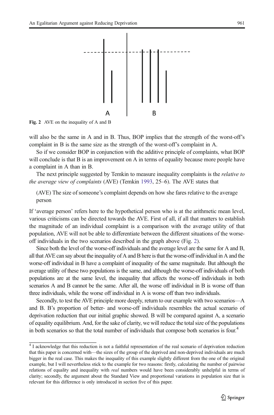

Fig. 2 AVE on the inequality of A and B

will also be the same in A and in B. Thus, BOP implies that the strength of the worst-off's complaint in B is the same size as the strength of the worst-off's complaint in A.

So if we consider BOP in conjunction with the additive principle of complaints, what BOP will conclude is that B is an improvement on A in terms of equality because more people have a complaint in A than in B.

The next principle suggested by Temkin to measure inequality complaints is the *relative to* the average view of complaints (AVE) (Temkin [1993,](#page-12-0) 25–6). The AVE states that

(AVE) The size of someone's complaint depends on how she fares relative to the average person

If 'average person' refers here to the hypothetical person who is at the arithmetic mean level, various criticisms can be directed towards the AVE. First of all, if all that matters to establish the magnitude of an individual complaint is a comparison with the average utility of that population, AVE will not be able to differentiate between the different situations of the worseoff individuals in the two scenarios described in the graph above (Fig. 2).

Since both the level of the worse-off individuals and the average level are the same for A and B, all that AVE can say about the inequality of A and B here is that the worse-off individual in A and the worse-off individual in B have a complaint of inequality of the same magnitude. But although the average utility of these two populations is the same, and although the worse-off individuals of both populations are at the same level, the inequality that affects the worse-off individuals in both scenarios A and B cannot be the same. After all, the worse off individual in B is worse off than three individuals, while the worse off individual in A is worse off than two individuals.

Secondly, to test the AVE principle more deeply, return to our example with two scenarios—A and B. B's proportion of better- and worse-off individuals resembles the actual scenario of deprivation reduction that our initial graphic showed. B will be compared against A, a scenario of equality equilibrium. And, for the sake of clarity, we will reduce the total size of the populations in both scenarios so that the total number of individuals that compose both scenarios is four.<sup>4</sup>

<sup>&</sup>lt;sup>4</sup> I acknowledge that this reduction is not a faithful representation of the real scenario of deprivation reduction that this paper is concerned with—the sizes of the group of the deprived and non-deprived individuals are much bigger in the real case. This makes the inequality of this example slightly different from the one of the original example, but I will nevertheless stick to the example for two reasons: firstly, calculating the number of pairwise relations of equality and inequality with *real* numbers would have been considerably unhelpful in terms of clarity; secondly, the argument about the Standard View and proportional variations in population size that is relevant for this difference is only introduced in section five of this paper.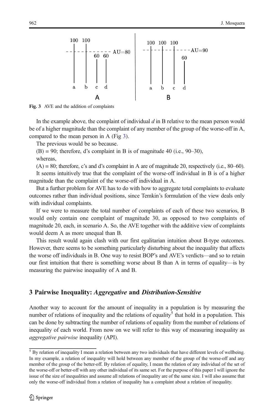<span id="page-6-0"></span>

Fig. 3 AVE and the addition of complaints

In the example above, the complaint of individual  $d$  in B relative to the mean person would be of a higher magnitude than the complaint of any member of the group of the worse-off in A, compared to the mean person in A (Fig 3).

The previous would be so because.

 $(B) = 90$ ; therefore, d's complaint in B is of magnitude 40 (i.e., 90–30),

whereas,

(A) = 80; therefore, c's and d's complaint in A are of magnitude 20, respectively (i.e., 80–60).

It seems intuitively true that the complaint of the worse-off individual in B is of a higher magnitude than the complaint of the worse-off individual in A.

But a further problem for AVE has to do with how to aggregate total complaints to evaluate outcomes rather than individual positions, since Temkin's formulation of the view deals only with individual complaints.

If we were to measure the total number of complaints of each of these two scenarios, B would only contain one complaint of magnitude 30, as opposed to two complaints of magnitude 20, each, in scenario A. So, the AVE together with the additive view of complaints would deem A as more unequal than B.

This result would again clash with our first egalitarian intuition about B-type outcomes. However, there seems to be something particularly disturbing about the inequality that affects the worse off individuals in B. One way to resist BOP's and AVE's verdicts—and so to retain our first intuition that there is something worse about B than A in terms of equality—is by measuring the pairwise inequality of A and B.

#### 3 Pairwise Inequality: Aggregative and Distribution-Sensitive

Another way to account for the amount of inequality in a population is by measuring the number of relations of inequality and the relations of equality<sup>5</sup> that hold in a population. This can be done by subtracting the number of relations of equality from the number of relations of inequality of each world. From now on we will refer to this way of measuring inequality as aggregative pairwise inequality (API).

 $5$  By relation of inequality I mean a relation between any two individuals that have different levels of wellbeing. In my example, a relation of inequality will hold between any member of the group of the worse-off and any member of the group of the better-off. By relation of equality, I mean the relation of any individual of the set of the worse-off or better-off with any other individual of its same set. For the purpose of this paper I will ignore the issue of the size of inequalities and assume all relations of inequality are of the same size. I will also assume that only the worse-off individual from a relation of inequality has a complaint about a relation of inequality.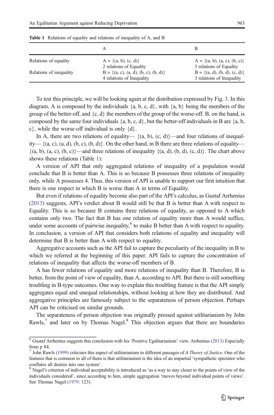| Relations of equality   | $A = \{(a, b), (c, d)\}\$<br>2 relations of Equality                   | $A = \{(a, b), (a, c), (b, c)\}\$<br>3 relations of Equality   |
|-------------------------|------------------------------------------------------------------------|----------------------------------------------------------------|
| Relations of inequality | $B = \{(a, c), (a, d), (b, c), (b, d)\}\$<br>4 relations of Inequality | $B = \{(a, d), (b, d), (c, d)\}\$<br>3 relations of Inequality |

Table 1 Relations of equality and relations of inequality of A, and B

To test this principle, we will be looking again at the distribution expressed by Fig. [3](#page-6-0). In this diagram, A is composed by the individuals  $\{a, b, c, d\}$ , with  $\{a, b\}$  being the members of the group of the better-off, and  $\{c, d\}$  the members of the group of the worse-off. B, on the hand, is composed by the same four individuals  $\{a, b, c, d\}$ , but the better-off individuals in B are  $\{a, b, c, d\}$  $c$ }, while the worse-off individual is only  $\{d\}$ .

In A, there are two relations of equality—  $\{(a, b), (c, d)\}$ —and four relations of inequality—  $\{(a, c), (a, d), (b, c), (b, d)\}$ . On the other hand, in B there are three relations of equality- $\{(a, b), (a, c), (b, c)\}$ —and three relations of inequality  $\{(a, d), (b, d), (c, d)\}$ . The chart above shows these relations (Table 1):

A version of API that only aggregated relations of inequality of a population would conclude that B is better than A. This is so because B possesses three relations of inequality only, while A possesses 4. Thus, this version of API is unable to support our first intuition that there is one respect in which B is worse than A in terms of Equality.

But even if relations of equality become also part of the API's calculus, as Gustaf Arrhenius ([2013](#page-11-0)) suggests, API's verdict about B would still be that B is better than A with respect to Equality. This is so because B contains three relations of equality, as opposed to A which contains only two. The fact that B has one relation of equality more than A would suffice, under some accounts of pairwise inequality,  $6$  to make B better than A with respect to equality. In conclusion, a version of API that considers both relations of equality and inequality will determine that B is better than A with respect to equality.

Aggregative accounts such as the API fail to capture the peculiarity of the inequality in B to which we referred at the beginning of this paper. API fails to capture the concentration of relations of inequality that affects the worse-off members of B.

A has fewer relations of equality and more relations of inequality than B. Therefore, B is better, from the point of view of equality, than A, according to API. But there is still something troubling in B-type outcomes. One way to explain this troubling feature is that the API simply aggregates equal and unequal relationships, without looking at how they are distributed. And aggregative principles are famously subject to the separateness of person objection. Perhaps API can be criticised on similar grounds.

The separateness of person objection was originally pressed against utilitarianism by John Rawls,<sup>7</sup> and later on by Thomas Nagel.<sup>8</sup> This objection argues that there are boundaries

<sup>6</sup> Gustaf Arrhenius suggests this conclusion with his 'Positive Egalitarianism' view. Arrhenius ([2013](#page-11-0)) Especially from p 84.

John Rawls [\(1999\)](#page-11-0) criticises this aspect of utilitarianism in different passages of A Theory of Justice. One of the features that is common to all of them is that utilitarianism is the idea of an impartial 'sympathetic spectator who conflates all desires into one system'.<br><sup>8</sup> Nagel's criterion of individual acceptability is introduced as 'as a way to stay closer to the points of view of the

individuals considered', since according to him, simple aggregation 'moves beyond individual points of views'. See Thomas Nagel ([1979](#page-11-0): 123).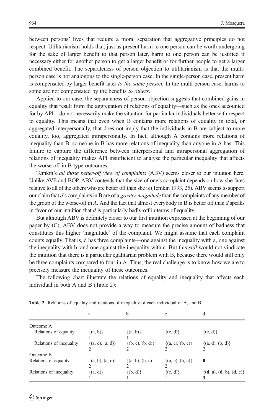between persons' lives that require a moral separation that aggregative principles do not respect. Utilitarianism holds that, just as present harm to one person can be worth undergoing for the sake of larger benefit to that person later, harm to one person can be justified if necessary either for another person to get a larger benefit or for further people to get a larger combined benefit. The separateness of person objection to utilitarianism is that the multiperson case is not analogous to the single-person case. In the single-person case, present harm is compensated by larger benefit later to the same person. In the multi-person case, harms to some are not compensated by the benefits to others.

Applied to our case, the separateness of person objection suggests that combined gains in equality that result from the aggregation of relations of equality—such as the ones accounted for by API—do not necessarily make the situation for particular individuals better with respect to equality. This means that even when B contains more relations of equality in total, or aggregated interpersonally, that does not imply that the individuals in B are subject to more equality, too, aggregated intrapersonally. In fact, although A contains more relations of inequality than B, someone in B has more relations of inequality than anyone in A has. This failure to capture the difference between interpersonal and intrapersonal aggregation of relations of inequality makes API insufficient to analyse the particular inequality that affects the worse-off in B-type outcomes.

Temkin's all those better-off view of complaints (ABV) seems closer to our intuition here. Unlike AVE and BOP, ABV contends that the size of one's complaint depends on how she fares relative to all of the others who are better off than she is (Temkin [1993](#page-12-0), 25). ABV seems to support our claim that d's complaints in B are of a greater magnitude than the complaints of any member of the group of the worse-off in A. And the fact that almost everybody in B is better off than  $d$  speaks in favor of our intuition that  $d$  is particularly badly-off in terms of equality.

But although ABV is definitely closer to our first intuition expressed at the beginning of our paper by (C), ABV does not provide a way to measure the precise amount of badness that constitutes this higher 'magnitude' of the complaint. We might assume that each complaint counts equally. That is, d has three complaints—one against the inequality with a, one against the inequality with b, and one against the inequality with c. But this *still* would not vindicate the intuition that there is a particular egalitarian problem with B, because there would still only be three complaints compared to four in A. Thus, the real challenge is to know how we are to precisely measure the inequality of these outcomes.

The following chart illustrate the relations of equality and inequality that affects each individual in both A and B (Table 2):

|                         | a                     | b                    | $\mathbf c$          | d                          |
|-------------------------|-----------------------|----------------------|----------------------|----------------------------|
| Outcome A               |                       |                      |                      |                            |
| Relations of equality   | $\{(a, b)\}\$         | $\{(a, b)\}\$        | $\{(c, d)\}\$        | $\{(c, d)\}\$              |
| Relations of inequality | $\{(a, c), (a, d)\}\$ | $\{(b, c), (b, d)\}$ | ${(a, c), (b, c)}$   | ${(a, d), (b, d)}$         |
| Outcome B               |                       |                      |                      |                            |
| Relations of equality   | ${(a, b), (a, c)}$    | $\{(a, b), (b, c)\}$ | $\{(a, c), (b, c)\}$ | $\bf{0}$                   |
| Relations of inequality | $\{(a, d)\}\$         | $\{(b, d)\}\$        | $\{(c, d)\}\$        | ${(d, a), (d, b), (d, c)}$ |

Table 2 Relations of equality and relations of inequality of each individual of A, and B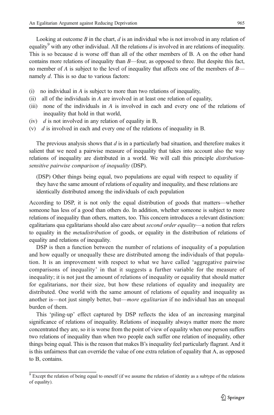Looking at outcome B in the chart,  $d$  is an individual who is not involved in any relation of equality<sup>9</sup> with any other individual. All the relations  $d$  is involved in are relations of inequality. This is so because d is worse off than all of the other members of B. A on the other hand contains more relations of inequality than B—four, as opposed to three. But despite this fact, no member of A is subject to the level of inequality that affects one of the members of  $B$  namely d. This is so due to various factors:

- (i) no individual in A is subject to more than two relations of inequality,
- (ii) all of the individuals in A are involved in at least one relation of equality,
- $(iii)$  none of the individuals in A is involved in each and every one of the relations of inequality that hold in that world,
- (iv)  $d$  is not involved in any relation of equality in B,
- (v)  $d$  is involved in each and every one of the relations of inequality in B.

The previous analysis shows that  $d$  is in a particularly bad situation, and therefore makes it salient that we need a pairwise measure of inequality that takes into account also the way relations of inequality are distributed in a world. We will call this principle *distribution*sensitive pairwise comparison of inequality (DSP).

(DSP) Other things being equal, two populations are equal with respect to equality if they have the same amount of relations of equality and inequality, and these relations are identically distributed among the individuals of each population

According to DSP, it is not only the equal distribution of goods that matters—whether someone has less of a good than others do. In addition, whether someone is subject to more relations of inequality than others, matters, too. This concern introduces a relevant distinction: egalitarians qua egalitarians should also care about *second order equality—*a notion that refers to equality in the metadistribution of goods, or equality in the distribution of relations of equality and relations of inequality.

DSP is then a function between the number of relations of inequality of a population and how equally or unequally these are distributed among the individuals of that population. It is an improvement with respect to what we have called 'aggregative pairwise comparisons of inequality' in that it suggests a further variable for the measure of inequality; it is not just the amount of relations of inequality or equality that should matter for egalitarians, nor their size, but how these relations of equality and inequality are distributed. One world with the same amount of relations of equality and inequality as another is—not just simply better, but—*more egalitarian* if no individual has an unequal burden of them.

This 'piling-up' effect captured by DSP reflects the idea of an increasing marginal significance of relations of inequality. Relations of inequality always matter more the more concentrated they are, so it is worse from the point of view of equality when one person suffers two relations of inequality than when two people each suffer one relation of inequality, other things being equal. This is the reason that makes B's inequality feel particularly flagrant. And it is this unfairness that can override the value of one extra relation of equality that A, as opposed to B, contains.

<sup>&</sup>lt;sup>9</sup> Except the relation of being equal to oneself (if we assume the relation of identity as a subtype of the relations of equality).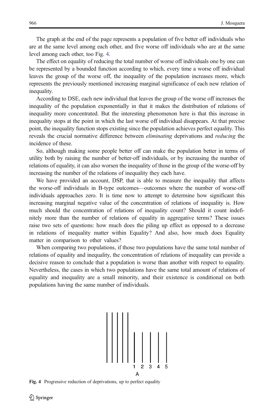The graph at the end of the page represents a population of five better off individuals who are at the same level among each other, and five worse off individuals who are at the same level among each other, too Fig. 4.

The effect on equality of reducing the total number of worse off individuals one by one can be represented by a bounded function according to which, every time a worse off individual leaves the group of the worse off, the inequality of the population increases more, which represents the previously mentioned increasing marginal significance of each new relation of inequality.

According to DSE, each new individual that leaves the group of the worse off increases the inequality of the population exponentially in that it makes the distribution of relations of inequality more concentrated. But the interesting phenomenon here is that this increase in inequality stops at the point in which the last worse off individual disappears. At that precise point, the inequality function stops existing since the population achieves perfect equality. This reveals the crucial normative difference between *eliminating* deprivations and *reducing* the incidence of these.

So, although making some people better off can make the population better in terms of utility both by raising the number of better-off individuals, or by increasing the number of relations of equality, it can also worsen the inequality of those in the group of the worse-off by increasing the number of the relations of inequality they each have.

We have provided an account, DSP, that is able to measure the inequality that affects the worse-off individuals in B-type outcomes—outcomes where the number of worse-off individuals approaches zero. It is time now to attempt to determine how significant this increasing marginal negative value of the concentration of relations of inequality is. How much should the concentration of relations of inequality count? Should it count indefinitely more than the number of relations of equality in aggregative terms? These issues raise two sets of questions: how much does the piling up effect as opposed to a decrease in relations of inequality matter within Equality? And also, how much does Equality matter in comparison to other values?

When comparing two populations, if those two populations have the same total number of relations of equality and inequality, the concentration of relations of inequality can provide a decisive reason to conclude that a population is worse than another with respect to equality. Nevertheless, the cases in which two populations have the same total amount of relations of equality and inequality are a small minority, and their existence is conditional on both populations having the same number of individuals.



Fig. 4 Progressive reduction of deprivations, up to perfect equality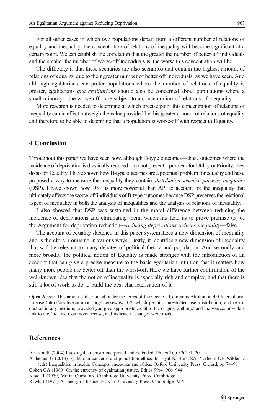<span id="page-11-0"></span>For all other cases in which two populations depart from a different number of relations of equality and inequality, the concentration of relations of inequality will become significant at a certain point. We can establish the correlation that the greater the number of better-off individuals and the smaller the number of worse-off individuals is, the worse this concentration will be.

The difficulty is that these scenarios are also scenarios that contain the highest amount of relations of equality due to their greater number of better off individuals, as we have seen. And although egalitarians can prefer populations where the number of relations of equality is greater, egalitarians qua egalitarians should also be concerned about populations where a small minority—the worse-off—are subject to a concentration of relations of inequality.

More research is needed to determine at which precise point this concentration of relations of inequality can in effect outweigh the value provided by this greater amount of relations of equality and therefore to be able to determine that a population is worse-off with respect to Equality.

#### 4 Conclusion

Throughout this paper we have seen how, although B-type outcomes—those outcomes where the incidence of deprivation is drastically reduced—do not present a problem for Utility or Priority, they do so for Equality. I have shown how B-type outcomes are a potential problem for equality and have proposed a way to measure the inequality they contain: distribution sensitive pairwise inequality (DSP). I have shown how DSP is more powerful than API to account for the inequality that ultimately affects the worse-off individuals of B-type outcomes because DSP preserves the relational aspect of inequality in both the analysis of inequalities and the analysis of relations of inequality.

I also showed that DSP was sustained in the moral difference between reducing the incidence of deprivations and eliminating them, which has lead us to prove premise (5) of the Argument for deprivation reduction—reducing deprivations reduces inequality—false.

The account of equality sketched in this paper systematizes a new dimension of inequality and is therefore promising in various ways. Firstly, it identifies a new dimension of inequality that will be relevant to many debates of political theory and population. And secondly and more broadly, the political notion of Equality is made stronger with the introduction of an account that can give a precise measure to the basic egalitarian intuition that it matters how many more people are better off than the worst-off. Here we have further confirmation of the well-known idea that the notion of inequality is especially rich and complex, and that there is still a lot of work to do to build the best characterisation of it.

Open Access This article is distributed under the terms of the Creative Commons Attribution 4.0 International License (http://creativecommons.org/licenses/by/4.0/), which permits unrestricted use, distribution, and reproduction in any medium, provided you give appropriate credit to the original author(s) and the source, provide a link to the Creative Commons license, and indicate if changes were made.

#### **References**

Arneson R (2004) Luck egalitarianism interpreted and defended. Philos Top 32(1):1–20 Arrhenius G (2013) Egalitarian concerns and population ethics. In: Eyal N, Hurst SA, Norheim OF, Wikler D

(eds) Inequalities in health. Concepts, measures and ethics. Oxford University Press, Oxford, pp 74–91 Cohen GA (1989) On the currency of egalitarian justice. Ethics 99(4):906–944

Nagel T (1979) Mortal Questions. Cambridge University Press, Cambridge

Rawls J (1971) A Theory of Justice. Harvard University Press, Cambridge, MA